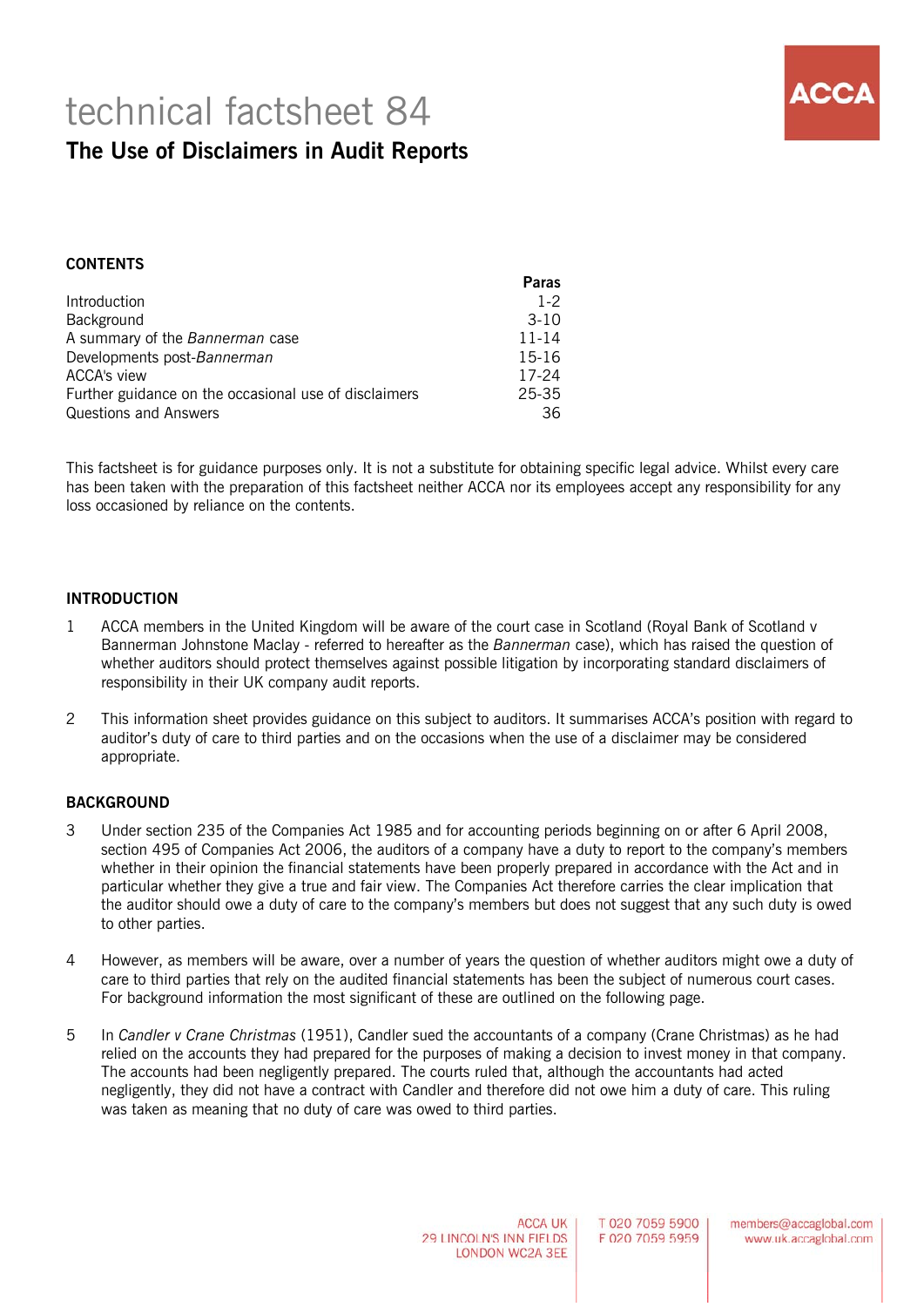# technical factsheet 84



# **The Use of Disclaimers in Audit Reports**

# **CONTENTS**

|                                                       | Paras     |
|-------------------------------------------------------|-----------|
| Introduction                                          | $1 - 2$   |
| Background                                            | $3-10$    |
| A summary of the Bannerman case                       | $11 - 14$ |
| Developments post-Bannerman                           | 15-16     |
| <b>ACCA's view</b>                                    | 17-24     |
| Further guidance on the occasional use of disclaimers | 25-35     |
| <b>Questions and Answers</b>                          | 36        |

This factsheet is for guidance purposes only. It is not a substitute for obtaining specific legal advice. Whilst every care has been taken with the preparation of this factsheet neither ACCA nor its employees accept any responsibility for any loss occasioned by reliance on the contents.

#### **INTRODUCTION**

- 1 ACCA members in the United Kingdom will be aware of the court case in Scotland (Royal Bank of Scotland v Bannerman Johnstone Maclay - referred to hereafter as the *Bannerman* case), which has raised the question of whether auditors should protect themselves against possible litigation by incorporating standard disclaimers of responsibility in their UK company audit reports.
- 2 This information sheet provides guidance on this subject to auditors. It summarises ACCA's position with regard to auditor's duty of care to third parties and on the occasions when the use of a disclaimer may be considered appropriate.

# **BACKGROUND**

- 3 Under section 235 of the Companies Act 1985 and for accounting periods beginning on or after 6 April 2008, section 495 of Companies Act 2006, the auditors of a company have a duty to report to the company's members whether in their opinion the financial statements have been properly prepared in accordance with the Act and in particular whether they give a true and fair view. The Companies Act therefore carries the clear implication that the auditor should owe a duty of care to the company's members but does not suggest that any such duty is owed to other parties.
- 4 However, as members will be aware, over a number of years the question of whether auditors might owe a duty of care to third parties that rely on the audited financial statements has been the subject of numerous court cases. For background information the most significant of these are outlined on the following page.
- 5 In *Candler v Crane Christmas* (1951), Candler sued the accountants of a company (Crane Christmas) as he had relied on the accounts they had prepared for the purposes of making a decision to invest money in that company. The accounts had been negligently prepared. The courts ruled that, although the accountants had acted negligently, they did not have a contract with Candler and therefore did not owe him a duty of care. This ruling was taken as meaning that no duty of care was owed to third parties.

T 020 7059 5900 F 020 7059 5959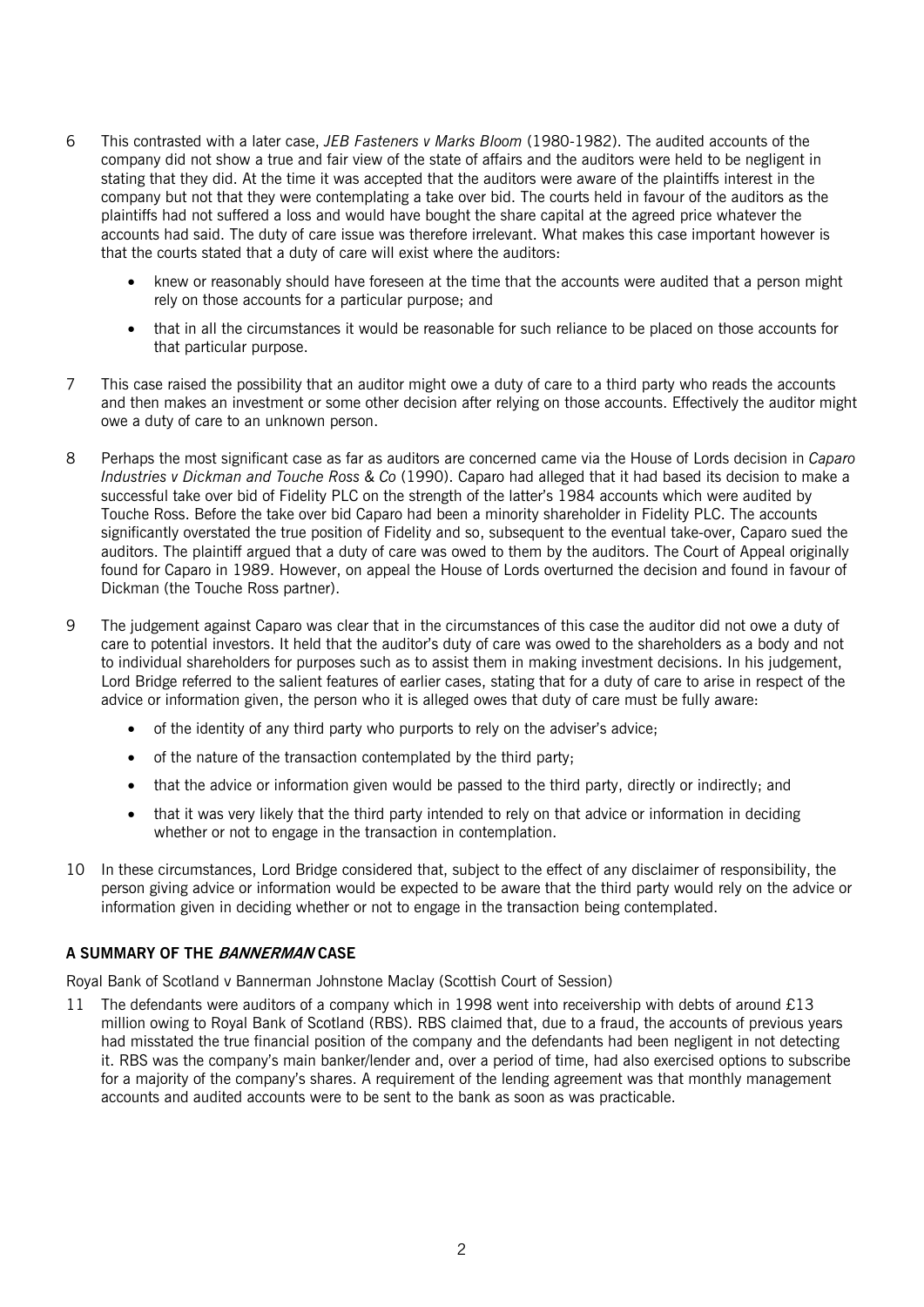- 6 This contrasted with a later case, *JEB Fasteners v Marks Bloom* (1980-1982). The audited accounts of the company did not show a true and fair view of the state of affairs and the auditors were held to be negligent in stating that they did. At the time it was accepted that the auditors were aware of the plaintiffs interest in the company but not that they were contemplating a take over bid. The courts held in favour of the auditors as the plaintiffs had not suffered a loss and would have bought the share capital at the agreed price whatever the accounts had said. The duty of care issue was therefore irrelevant. What makes this case important however is that the courts stated that a duty of care will exist where the auditors:
	- knew or reasonably should have foreseen at the time that the accounts were audited that a person might rely on those accounts for a particular purpose; and
	- that in all the circumstances it would be reasonable for such reliance to be placed on those accounts for that particular purpose.
- 7 This case raised the possibility that an auditor might owe a duty of care to a third party who reads the accounts and then makes an investment or some other decision after relying on those accounts. Effectively the auditor might owe a duty of care to an unknown person.
- 8 Perhaps the most significant case as far as auditors are concerned came via the House of Lords decision in *Caparo Industries v Dickman and Touche Ross & Co* (1990). Caparo had alleged that it had based its decision to make a successful take over bid of Fidelity PLC on the strength of the latter's 1984 accounts which were audited by Touche Ross. Before the take over bid Caparo had been a minority shareholder in Fidelity PLC. The accounts significantly overstated the true position of Fidelity and so, subsequent to the eventual take-over, Caparo sued the auditors. The plaintiff argued that a duty of care was owed to them by the auditors. The Court of Appeal originally found for Caparo in 1989. However, on appeal the House of Lords overturned the decision and found in favour of Dickman (the Touche Ross partner).
- 9 The judgement against Caparo was clear that in the circumstances of this case the auditor did not owe a duty of care to potential investors. It held that the auditor's duty of care was owed to the shareholders as a body and not to individual shareholders for purposes such as to assist them in making investment decisions. In his judgement, Lord Bridge referred to the salient features of earlier cases, stating that for a duty of care to arise in respect of the advice or information given, the person who it is alleged owes that duty of care must be fully aware:
	- of the identity of any third party who purports to rely on the adviser's advice;
	- of the nature of the transaction contemplated by the third party;
	- that the advice or information given would be passed to the third party, directly or indirectly; and
	- that it was very likely that the third party intended to rely on that advice or information in deciding whether or not to engage in the transaction in contemplation.
- 10 In these circumstances, Lord Bridge considered that, subject to the effect of any disclaimer of responsibility, the person giving advice or information would be expected to be aware that the third party would rely on the advice or information given in deciding whether or not to engage in the transaction being contemplated.

# **A SUMMARY OF THE BANNERMAN CASE**

Royal Bank of Scotland v Bannerman Johnstone Maclay (Scottish Court of Session)

11 The defendants were auditors of a company which in 1998 went into receivership with debts of around £13 million owing to Royal Bank of Scotland (RBS). RBS claimed that, due to a fraud, the accounts of previous years had misstated the true financial position of the company and the defendants had been negligent in not detecting it. RBS was the company's main banker/lender and, over a period of time, had also exercised options to subscribe for a majority of the company's shares. A requirement of the lending agreement was that monthly management accounts and audited accounts were to be sent to the bank as soon as was practicable.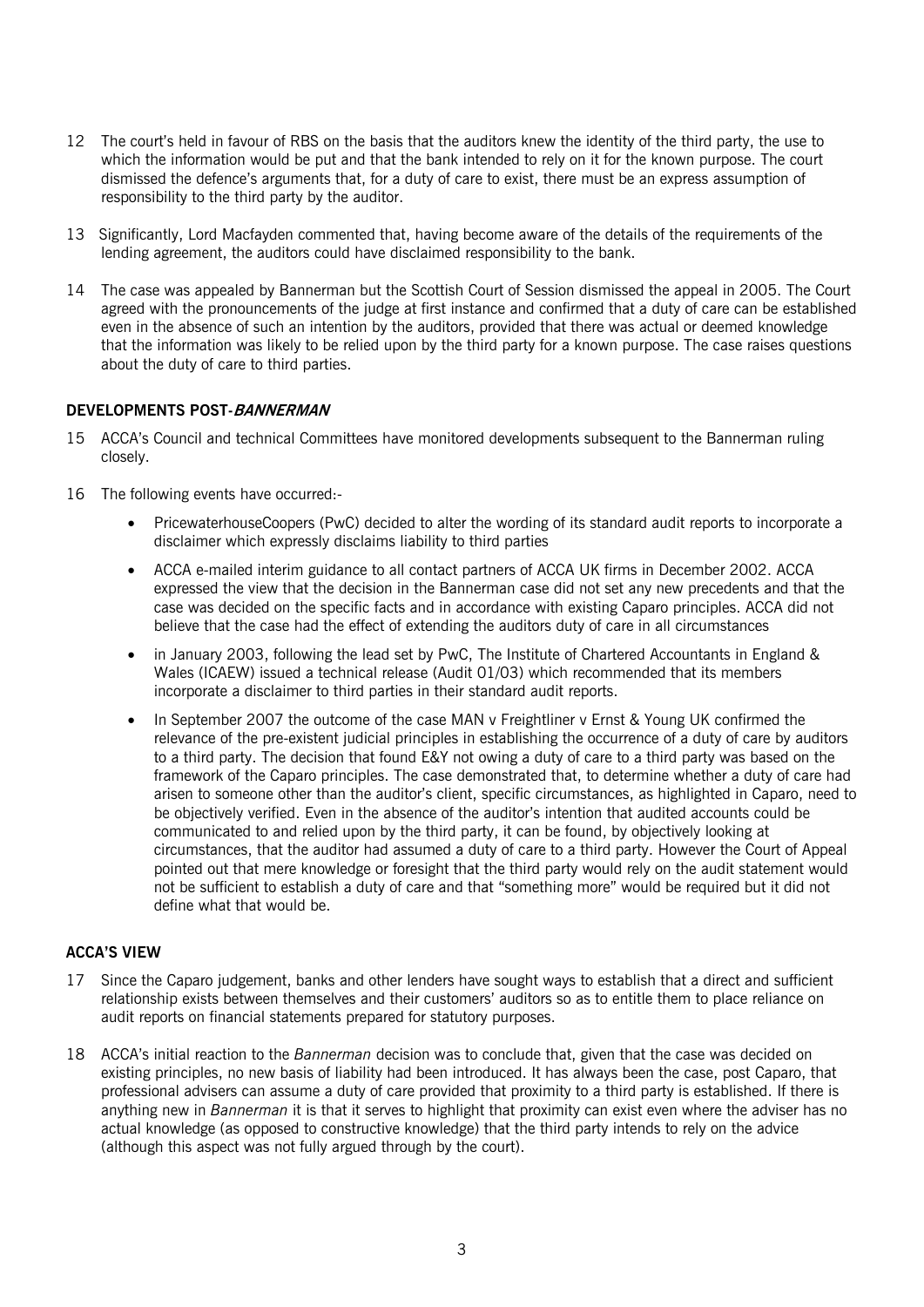- 12 The court's held in favour of RBS on the basis that the auditors knew the identity of the third party, the use to which the information would be put and that the bank intended to rely on it for the known purpose. The court dismissed the defence's arguments that, for a duty of care to exist, there must be an express assumption of responsibility to the third party by the auditor.
- 13 Significantly, Lord Macfayden commented that, having become aware of the details of the requirements of the lending agreement, the auditors could have disclaimed responsibility to the bank.
- 14 The case was appealed by Bannerman but the Scottish Court of Session dismissed the appeal in 2005. The Court agreed with the pronouncements of the judge at first instance and confirmed that a duty of care can be established even in the absence of such an intention by the auditors, provided that there was actual or deemed knowledge that the information was likely to be relied upon by the third party for a known purpose. The case raises questions about the duty of care to third parties.

# **DEVELOPMENTS POST-BANNERMAN**

- 15 ACCA's Council and technical Committees have monitored developments subsequent to the Bannerman ruling closely.
- 16 The following events have occurred:-
	- PricewaterhouseCoopers (PwC) decided to alter the wording of its standard audit reports to incorporate a disclaimer which expressly disclaims liability to third parties
	- ACCA e-mailed interim guidance to all contact partners of ACCA UK firms in December 2002. ACCA expressed the view that the decision in the Bannerman case did not set any new precedents and that the case was decided on the specific facts and in accordance with existing Caparo principles. ACCA did not believe that the case had the effect of extending the auditors duty of care in all circumstances
	- in January 2003, following the lead set by PwC, The Institute of Chartered Accountants in England & Wales (ICAEW) issued a technical release (Audit 01/03) which recommended that its members incorporate a disclaimer to third parties in their standard audit reports.
	- In September 2007 the outcome of the case MAN v Freightliner v Ernst & Young UK confirmed the relevance of the pre-existent judicial principles in establishing the occurrence of a duty of care by auditors to a third party. The decision that found E&Y not owing a duty of care to a third party was based on the framework of the Caparo principles. The case demonstrated that, to determine whether a duty of care had arisen to someone other than the auditor's client, specific circumstances, as highlighted in Caparo, need to be objectively verified. Even in the absence of the auditor's intention that audited accounts could be communicated to and relied upon by the third party, it can be found, by objectively looking at circumstances, that the auditor had assumed a duty of care to a third party. However the Court of Appeal pointed out that mere knowledge or foresight that the third party would rely on the audit statement would not be sufficient to establish a duty of care and that "something more" would be required but it did not define what that would be.

# **ACCA'S VIEW**

- 17 Since the Caparo judgement, banks and other lenders have sought ways to establish that a direct and sufficient relationship exists between themselves and their customers' auditors so as to entitle them to place reliance on audit reports on financial statements prepared for statutory purposes.
- 18 ACCA's initial reaction to the *Bannerman* decision was to conclude that, given that the case was decided on existing principles, no new basis of liability had been introduced. It has always been the case, post Caparo, that professional advisers can assume a duty of care provided that proximity to a third party is established. If there is anything new in *Bannerman* it is that it serves to highlight that proximity can exist even where the adviser has no actual knowledge (as opposed to constructive knowledge) that the third party intends to rely on the advice (although this aspect was not fully argued through by the court).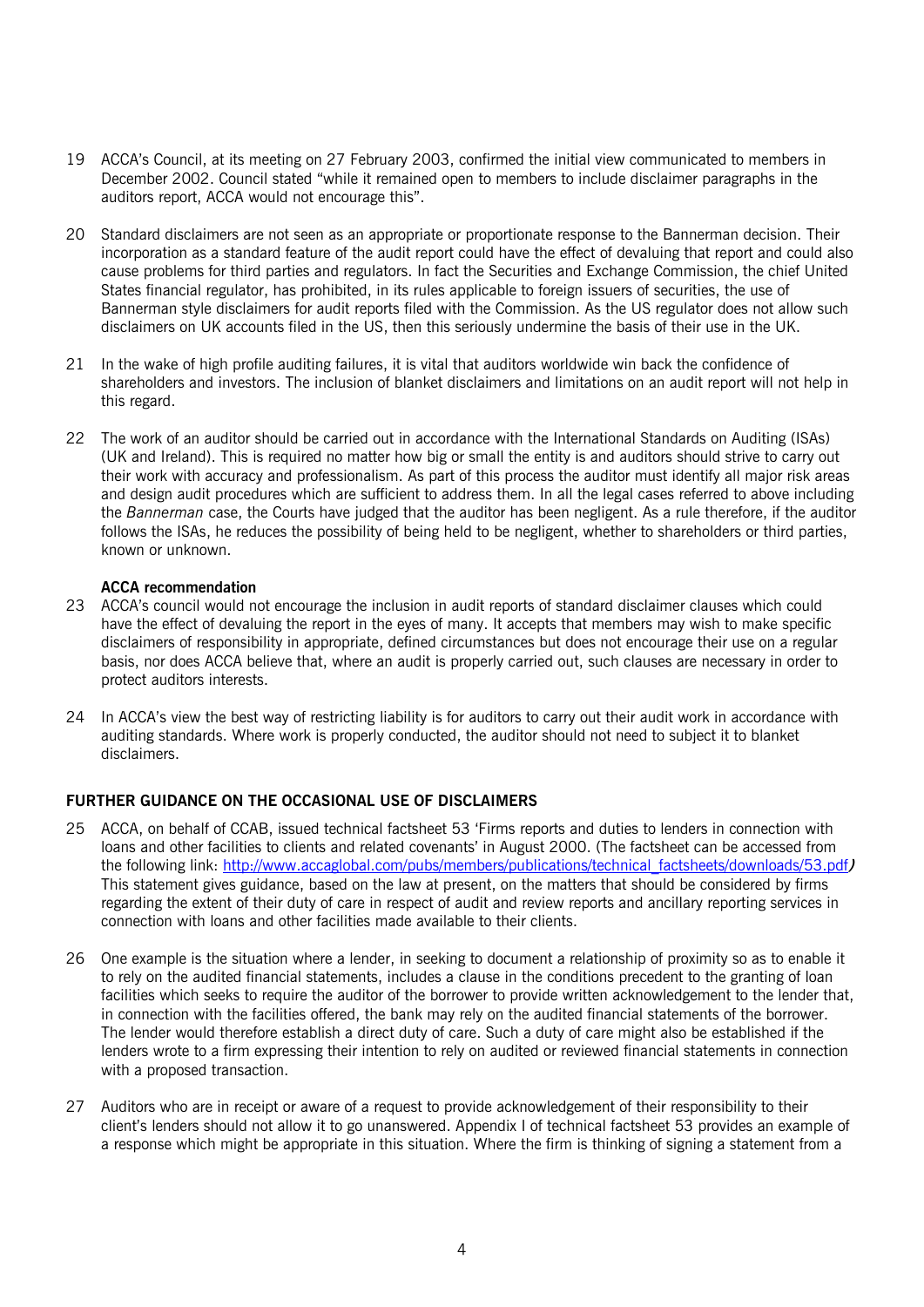- 19 ACCA's Council, at its meeting on 27 February 2003, confirmed the initial view communicated to members in December 2002. Council stated "while it remained open to members to include disclaimer paragraphs in the auditors report, ACCA would not encourage this".
- 20 Standard disclaimers are not seen as an appropriate or proportionate response to the Bannerman decision. Their incorporation as a standard feature of the audit report could have the effect of devaluing that report and could also cause problems for third parties and regulators. In fact the Securities and Exchange Commission, the chief United States financial regulator, has prohibited, in its rules applicable to foreign issuers of securities, the use of Bannerman style disclaimers for audit reports filed with the Commission. As the US regulator does not allow such disclaimers on UK accounts filed in the US, then this seriously undermine the basis of their use in the UK.
- 21 In the wake of high profile auditing failures, it is vital that auditors worldwide win back the confidence of shareholders and investors. The inclusion of blanket disclaimers and limitations on an audit report will not help in this regard.
- 22 The work of an auditor should be carried out in accordance with the International Standards on Auditing (ISAs) (UK and Ireland). This is required no matter how big or small the entity is and auditors should strive to carry out their work with accuracy and professionalism. As part of this process the auditor must identify all major risk areas and design audit procedures which are sufficient to address them. In all the legal cases referred to above including the *Bannerman* case, the Courts have judged that the auditor has been negligent. As a rule therefore, if the auditor follows the ISAs, he reduces the possibility of being held to be negligent, whether to shareholders or third parties, known or unknown.

#### **ACCA recommendation**

- 23 ACCA's council would not encourage the inclusion in audit reports of standard disclaimer clauses which could have the effect of devaluing the report in the eyes of many. It accepts that members may wish to make specific disclaimers of responsibility in appropriate, defined circumstances but does not encourage their use on a regular basis, nor does ACCA believe that, where an audit is properly carried out, such clauses are necessary in order to protect auditors interests.
- 24 In ACCA's view the best way of restricting liability is for auditors to carry out their audit work in accordance with auditing standards. Where work is properly conducted, the auditor should not need to subject it to blanket disclaimers.

# **FURTHER GUIDANCE ON THE OCCASIONAL USE OF DISCLAIMERS**

- 25 ACCA, on behalf of CCAB, issued technical factsheet 53 'Firms reports and duties to lenders in connection with loans and other facilities to clients and related covenants' in August 2000. (The factsheet can be accessed from the following link: http://www.accaglobal.com/pubs/members/publications/technical\_factsheets/downloads/53.pdf**)** This statement gives guidance, based on the law at present, on the matters that should be considered by firms regarding the extent of their duty of care in respect of audit and review reports and ancillary reporting services in connection with loans and other facilities made available to their clients.
- 26 One example is the situation where a lender, in seeking to document a relationship of proximity so as to enable it to rely on the audited financial statements, includes a clause in the conditions precedent to the granting of loan facilities which seeks to require the auditor of the borrower to provide written acknowledgement to the lender that, in connection with the facilities offered, the bank may rely on the audited financial statements of the borrower. The lender would therefore establish a direct duty of care. Such a duty of care might also be established if the lenders wrote to a firm expressing their intention to rely on audited or reviewed financial statements in connection with a proposed transaction.
- 27 Auditors who are in receipt or aware of a request to provide acknowledgement of their responsibility to their client's lenders should not allow it to go unanswered. Appendix I of technical factsheet 53 provides an example of a response which might be appropriate in this situation. Where the firm is thinking of signing a statement from a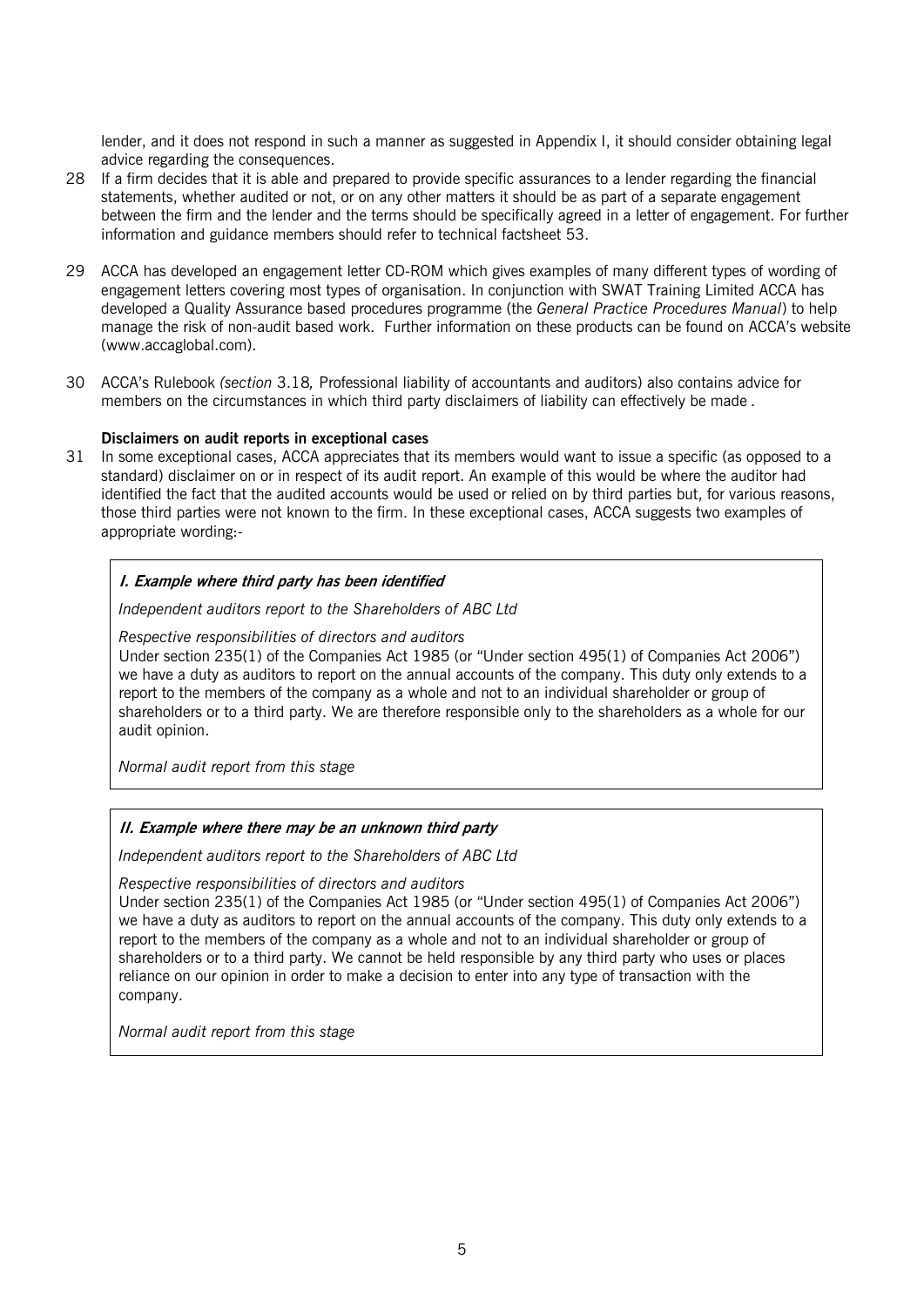lender, and it does not respond in such a manner as suggested in Appendix I, it should consider obtaining legal advice regarding the consequences.

- 28 If a firm decides that it is able and prepared to provide specific assurances to a lender regarding the financial statements, whether audited or not, or on any other matters it should be as part of a separate engagement between the firm and the lender and the terms should be specifically agreed in a letter of engagement. For further information and guidance members should refer to technical factsheet 53.
- 29 ACCA has developed an engagement letter CD-ROM which gives examples of many different types of wording of engagement letters covering most types of organisation. In conjunction with SWAT Training Limited ACCA has developed a Quality Assurance based procedures programme (the *General Practice Procedures Manual*) to help manage the risk of non-audit based work. Further information on these products can be found on ACCA's website (www.accaglobal.com).
- 30 ACCA's Rulebook *(section* 3.18*,* Professional liability of accountants and auditors) also contains advice for members on the circumstances in which third party disclaimers of liability can effectively be made *.*

#### **Disclaimers on audit reports in exceptional cases**

31 In some exceptional cases, ACCA appreciates that its members would want to issue a specific (as opposed to a standard) disclaimer on or in respect of its audit report. An example of this would be where the auditor had identified the fact that the audited accounts would be used or relied on by third parties but, for various reasons, those third parties were not known to the firm. In these exceptional cases, ACCA suggests two examples of appropriate wording:-

#### **I. Example where third party has been identified**

*Independent auditors report to the Shareholders of ABC Ltd* 

*Respective responsibilities of directors and auditors* 

Under section 235(1) of the Companies Act 1985 (or "Under section 495(1) of Companies Act 2006") we have a duty as auditors to report on the annual accounts of the company. This duty only extends to a report to the members of the company as a whole and not to an individual shareholder or group of shareholders or to a third party. We are therefore responsible only to the shareholders as a whole for our audit opinion.

*Normal audit report from this stage* 

#### **II. Example where there may be an unknown third party**

*Independent auditors report to the Shareholders of ABC Ltd* 

*Respective responsibilities of directors and auditors* 

Under section 235(1) of the Companies Act 1985 (or "Under section 495(1) of Companies Act 2006") we have a duty as auditors to report on the annual accounts of the company. This duty only extends to a report to the members of the company as a whole and not to an individual shareholder or group of shareholders or to a third party. We cannot be held responsible by any third party who uses or places reliance on our opinion in order to make a decision to enter into any type of transaction with the company.

*Normal audit report from this stage*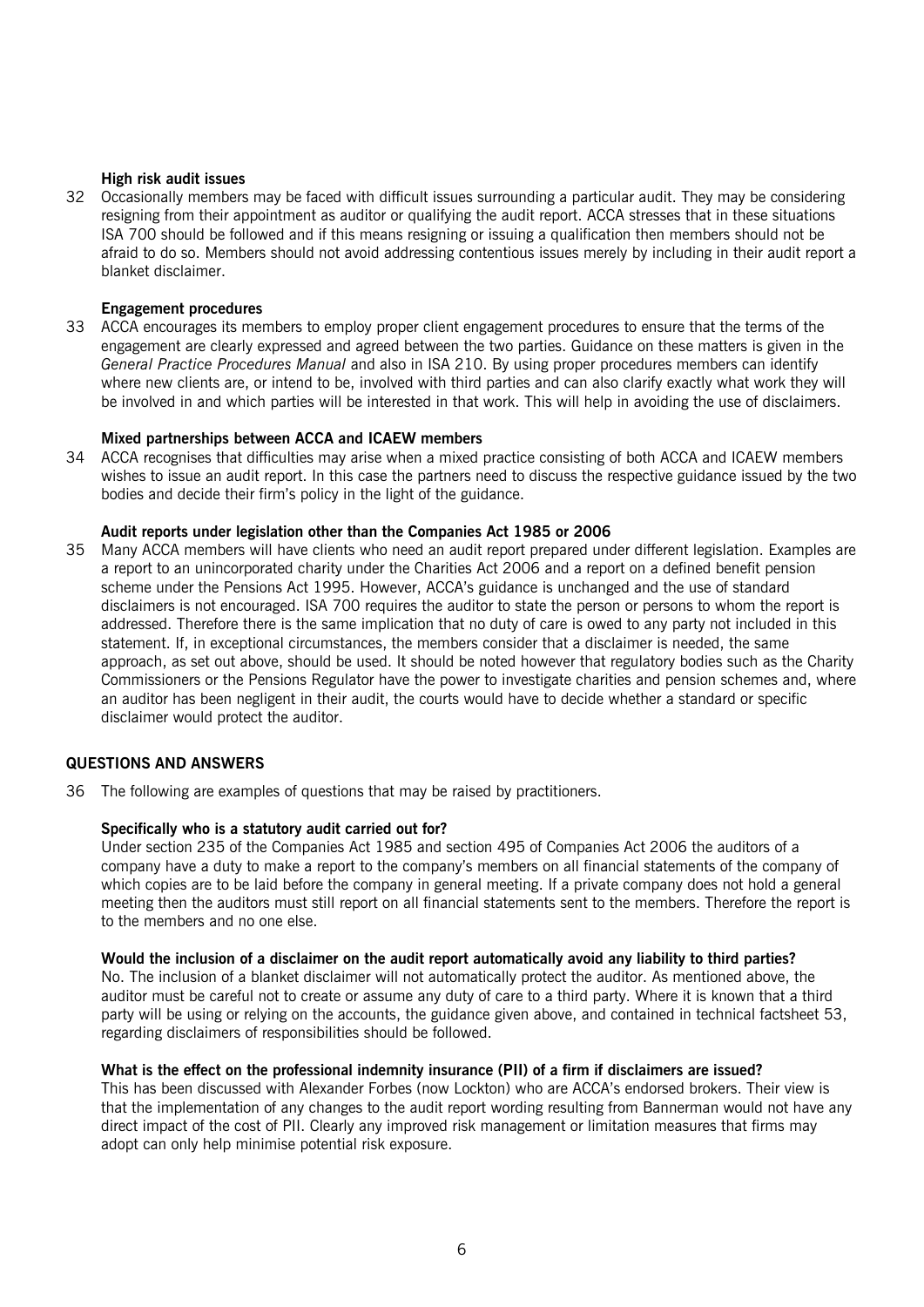#### **High risk audit issues**

32 Occasionally members may be faced with difficult issues surrounding a particular audit. They may be considering resigning from their appointment as auditor or qualifying the audit report. ACCA stresses that in these situations ISA 700 should be followed and if this means resigning or issuing a qualification then members should not be afraid to do so. Members should not avoid addressing contentious issues merely by including in their audit report a blanket disclaimer.

#### **Engagement procedures**

33 ACCA encourages its members to employ proper client engagement procedures to ensure that the terms of the engagement are clearly expressed and agreed between the two parties. Guidance on these matters is given in the *General Practice Procedures Manual* and also in ISA 210. By using proper procedures members can identify where new clients are, or intend to be, involved with third parties and can also clarify exactly what work they will be involved in and which parties will be interested in that work. This will help in avoiding the use of disclaimers.

#### **Mixed partnerships between ACCA and ICAEW members**

34 ACCA recognises that difficulties may arise when a mixed practice consisting of both ACCA and ICAEW members wishes to issue an audit report. In this case the partners need to discuss the respective guidance issued by the two bodies and decide their firm's policy in the light of the guidance.

#### **Audit reports under legislation other than the Companies Act 1985 or 2006**

35 Many ACCA members will have clients who need an audit report prepared under different legislation. Examples are a report to an unincorporated charity under the Charities Act 2006 and a report on a defined benefit pension scheme under the Pensions Act 1995. However, ACCA's guidance is unchanged and the use of standard disclaimers is not encouraged. ISA 700 requires the auditor to state the person or persons to whom the report is addressed. Therefore there is the same implication that no duty of care is owed to any party not included in this statement. If, in exceptional circumstances, the members consider that a disclaimer is needed, the same approach, as set out above, should be used. It should be noted however that regulatory bodies such as the Charity Commissioners or the Pensions Regulator have the power to investigate charities and pension schemes and, where an auditor has been negligent in their audit, the courts would have to decide whether a standard or specific disclaimer would protect the auditor.

# **QUESTIONS AND ANSWERS**

36 The following are examples of questions that may be raised by practitioners.

#### **Specifically who is a statutory audit carried out for?**

Under section 235 of the Companies Act 1985 and section 495 of Companies Act 2006 the auditors of a company have a duty to make a report to the company's members on all financial statements of the company of which copies are to be laid before the company in general meeting. If a private company does not hold a general meeting then the auditors must still report on all financial statements sent to the members. Therefore the report is to the members and no one else.

#### **Would the inclusion of a disclaimer on the audit report automatically avoid any liability to third parties?**

 No. The inclusion of a blanket disclaimer will not automatically protect the auditor. As mentioned above, the auditor must be careful not to create or assume any duty of care to a third party. Where it is known that a third party will be using or relying on the accounts, the guidance given above, and contained in technical factsheet 53, regarding disclaimers of responsibilities should be followed.

#### **What is the effect on the professional indemnity insurance (PII) of a firm if disclaimers are issued?**

 This has been discussed with Alexander Forbes (now Lockton) who are ACCA's endorsed brokers. Their view is that the implementation of any changes to the audit report wording resulting from Bannerman would not have any direct impact of the cost of PII. Clearly any improved risk management or limitation measures that firms may adopt can only help minimise potential risk exposure.